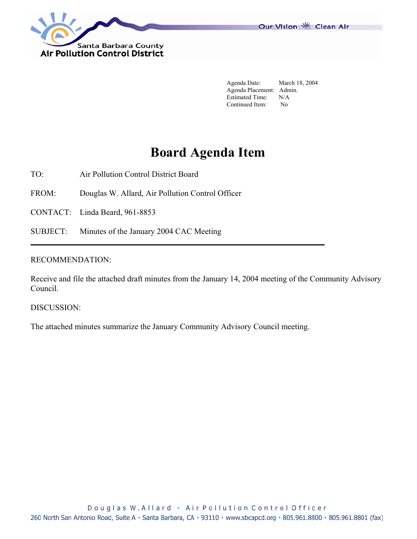

Our Vision 卷 Clean Air

 Agenda Date: March 18, 2004 Agenda Placement: Admin. Estimated Time: N/A Continued Item: No

# **Board Agenda Item**

TO: Air Pollution Control District Board

FROM: Douglas W. Allard, Air Pollution Control Officer

CONTACT: Linda Beard, 961-8853

SUBJECT: Minutes of the January 2004 CAC Meeting

## RECOMMENDATION:

Receive and file the attached draft minutes from the January 14, 2004 meeting of the Community Advisory Council.

DISCUSSION:

The attached minutes summarize the January Community Advisory Council meeting.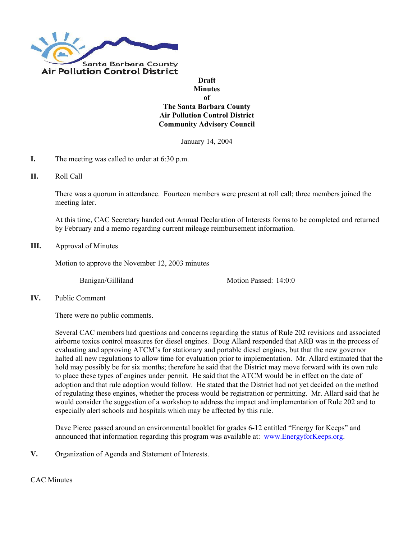

### **Draft Minutes of The Santa Barbara County Air Pollution Control District Community Advisory Council**

January 14, 2004

- **I.** The meeting was called to order at 6:30 p.m.
- **II.** Roll Call

There was a quorum in attendance. Fourteen members were present at roll call; three members joined the meeting later.

At this time, CAC Secretary handed out Annual Declaration of Interests forms to be completed and returned by February and a memo regarding current mileage reimbursement information.

#### **III.** Approval of Minutes

Motion to approve the November 12, 2003 minutes

Banigan/Gilliland Motion Passed: 14:0:0

**IV.** Public Comment

There were no public comments.

Several CAC members had questions and concerns regarding the status of Rule 202 revisions and associated airborne toxics control measures for diesel engines. Doug Allard responded that ARB was in the process of evaluating and approving ATCM's for stationary and portable diesel engines, but that the new governor halted all new regulations to allow time for evaluation prior to implementation. Mr. Allard estimated that the hold may possibly be for six months; therefore he said that the District may move forward with its own rule to place these types of engines under permit. He said that the ATCM would be in effect on the date of adoption and that rule adoption would follow. He stated that the District had not yet decided on the method of regulating these engines, whether the process would be registration or permitting. Mr. Allard said that he would consider the suggestion of a workshop to address the impact and implementation of Rule 202 and to especially alert schools and hospitals which may be affected by this rule.

Dave Pierce passed around an environmental booklet for grades 6-12 entitled "Energy for Keeps" and announced that information regarding this program was available at: [www.EnergyforKeeps.org.](http://www.energyforkeeps.org/)

**V.** Organization of Agenda and Statement of Interests.

CAC Minutes